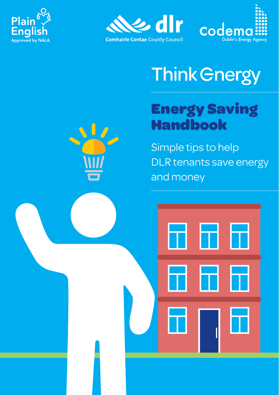





# **Think Gnergy**

## Energy Saving Handbook

Simple tips to help DLR tenants save energy and money

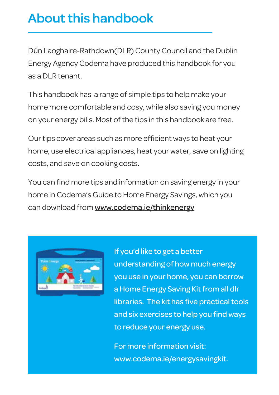### About this handbook

Dún Laoghaire-Rathdown(DLR) County Council and the Dublin Energy Agency Codema have produced this handbook for you as a DLR tenant.

This handbook has a range of simple tips to help make your home more comfortable and cosy, while also saving you money on your energy bills. Most of the tips in this handbook are free.

Our tips cover areas such as more efficient ways to heat your home, use electrical appliances, heat your water, save on lighting costs, and save on cooking costs.

You can find more tips and information on saving energy in your home in Codema's Guide to Home Energy Savings, which you can download from www.codema.ie/thinkenergy



If you'd like to get a better understanding of how much energy you use in your home, you can borrow a Home Energy Saving Kit from all dlr libraries. The kit has five practical tools and six exercises to help you find ways to reduce your energy use.

For more information visit: www.codema.ie/energysavingkit.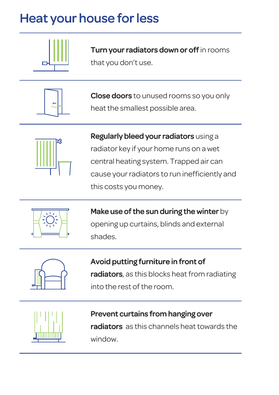## Heat your house for less



Turn your radiators down or off in rooms that you don't use.



Close doors to unused rooms so you only heat the smallest possible area.



Regularly bleed your radiators using a radiator key if your home runs on a wet central heating system. Trapped air can cause your radiators to run inefficiently and this costs you money.



Make use of the sun during the winter by opening up curtains, blinds and external shades.



Avoid putting furniture in front of radiators, as this blocks heat from radiating into the rest of the room.



#### Prevent curtains from hanging over

radiators as this channels heat towards the window.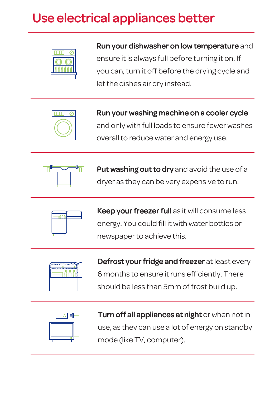## Use electrical appliances better



#### Run your dishwasher on low temperature and

ensure it is always full before turning it on. If you can, turn it off before the drying cycle and let the dishes air dry instead.



Run your washing machine on a cooler cycle and only with full loads to ensure fewer washes overall to reduce water and energy use.



Put washing out to dry and avoid the use of a dryer as they can be very expensive to run.



Keep your freezer full as it will consume less energy. You could fill it with water bottles or newspaper to achieve this.



Defrost your fridge and freezer at least every 6 months to ensure it runs efficiently. There should be less than 5mm of frost build up.



Turn off all appliances at night or when not in use, as they can use a lot of energy on standby mode (like TV, computer).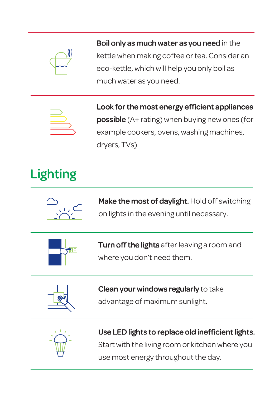

Boil only as much water as you need in the kettle when making coffee or tea. Consider an eco-kettle, which will help you only boil as much water as you need.



Look for the most energy efficient appliances **possible** (A+ rating) when buying new ones (for example cookers, ovens, washing machines, dryers, TVs)

## Lighting



Make the most of daylight. Hold off switching on lights in the evening until necessary.



Turn off the lights after leaving a room and where you don't need them.



### Clean your windows regularly to take

advantage of maximum sunlight.



#### Use LED lights to replace old inefficient lights. Start with the living room or kitchen where you

use most energy throughout the day.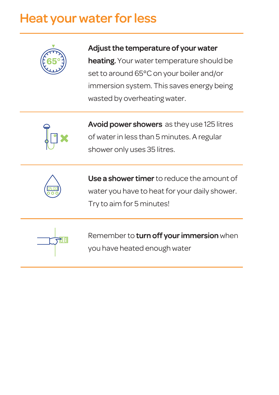### Heat your water for less



#### Adjust the temperature of your water

heating. Your water temperature should be set to around 65°C on your boiler and/or immersion system. This saves energy being wasted by overheating water.



Avoid power showers as they use 125 litres of water in less than 5 minutes. A regular shower only uses 35 litres.



Use a shower timer to reduce the amount of water you have to heat for your daily shower. Try to aim for 5 minutes!



Remember to turn off your immersion when you have heated enough water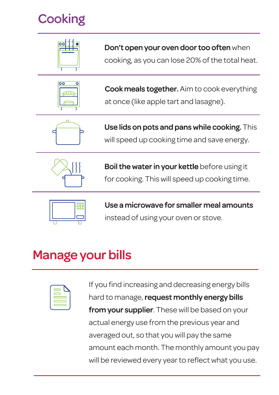## **Cooking**



Don't open your oven door too often when

cooking, as you can lose 20% of the total heat.



**Cook meals together.** Aim to cook everything at once (like apple tart and lasagne).



Use lids on pots and pans while cooking. This will speed up cooking time and save energy.



Boil the water in your kettle before using it for cooking. This will speed up cooking time.



Use a microwave for smaller meal amounts instead of using your oven or stove.

### Manage your bills

If you find increasing and decreasing energy bills hard to manage, request monthly energy bills from your supplier. These will be based on your actual energy use from the previous year and averaged out, so that you will pay the same amount each month. The monthly amount you pay will be reviewed every year to reflect what you use.